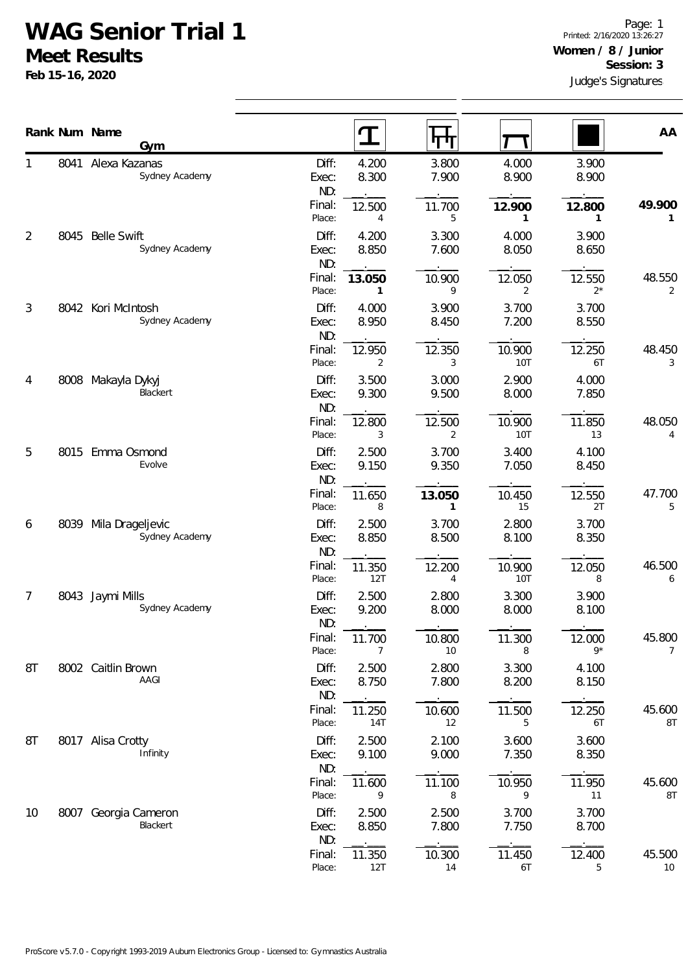## **WAG Senior Trial 1**

**Gym**

8041 Alexa Kazanas

**Meet Results Feb 15-16, 2020**

1

Judge's Signatures Page: 1 Printed: 2/16/2020 13:26:27 **Women / 8 / Junior Session: 3**

| 7.900<br>8.900<br>8.900<br>8.300<br>Exec:<br>ND:                                                                   | Sydney Academy                       |      |                |
|--------------------------------------------------------------------------------------------------------------------|--------------------------------------|------|----------------|
| 49.900<br>Final:<br>12.500<br>11.700<br>12.900<br>12.800<br>Place:<br>5<br>4<br>1<br>1                             |                                      |      |                |
| Diff:<br>4.200<br>3.300<br>4.000<br>3.900<br>8.850<br>7.600<br>8.050<br>8.650<br>Exec:<br>ND:                      | <b>Belle Swift</b><br>Sydney Academy | 8045 | $\overline{2}$ |
| 48.550<br>Final:<br>13.050<br>12.050<br>12.550<br>10.900<br>$2^*$<br>9<br>Place:<br>2<br>1<br>2                    |                                      |      |                |
| Diff:<br>4.000<br>3.900<br>3.700<br>3.700<br>8.950<br>8.450<br>7.200<br>8.550<br>Exec:<br>ND:                      | 8042 Kori McIntosh<br>Sydney Academy |      | $\mathfrak{Z}$ |
| 48.450<br>Final:<br>12.250<br>12.950<br>12.350<br>10.900<br>$\overline{2}$<br>3<br><b>10T</b><br>6T<br>Place:<br>3 |                                      |      |                |
| Diff:<br>3.500<br>3.000<br>2.900<br>4.000<br>9.300<br>9.500<br>8.000<br>Exec:<br>7.850<br>ND:                      | Makayla Dykyj<br>Blackert            | 8008 | 4              |
| 48.050<br>12.500<br>10.900<br>11.850<br>Final:<br>12.800<br>3<br>$\overline{2}$<br>10T<br>13<br>Place:<br>4        |                                      |      |                |
| Diff:<br>2.500<br>3.700<br>3.400<br>4.100<br>9.150<br>9.350<br>7.050<br>8.450<br>Exec:<br>ND:                      | 8015 Emma Osmond<br>Evolve           |      | 5              |
| Final:<br>47.700<br>10.450<br>12.550<br>11.650<br>13.050<br>Place:<br>8<br>15<br>2T<br>5<br>1                      |                                      |      |                |
| 2.500<br>Diff:<br>3.700<br>2.800<br>3.700<br>8.850<br>8.500<br>8.100<br>8.350<br>Exec:<br>ND:                      | Mila Drageljevic<br>Sydney Academy   | 8039 | 6              |
| 46.500<br>Final:<br>11.350<br>12.200<br>10.900<br>12.050<br>12T<br>10T<br>Place:<br>8<br>4<br>6                    |                                      |      |                |
| Diff:<br>2.500<br>2.800<br>3.300<br>3.900<br>9.200<br>8.000<br>8.000<br>8.100<br>Exec:<br>ND:                      | 8043 Jaymi Mills<br>Sydney Academy   |      | $\overline{7}$ |
| 45.800<br>Final:<br>10.800<br>11.700<br>11.300<br>12.000<br>$9*$<br>Place:<br>10<br>8<br>7<br>7                    |                                      |      |                |
| Diff:<br>2.500<br>2.800<br>3.300<br>4.100<br>8.750<br>7.800<br>8.200<br>8.150<br>Exec:<br>ND:                      | Caitlin Brown<br>AAGI                | 8002 | 8T             |
| Final:<br>45.600<br>10.600<br>11.500<br>12.250<br>11.250<br><b>8T</b><br>Place:<br><b>14T</b><br>12<br>5<br>6T     |                                      |      |                |
| Diff:<br>2.500<br>2.100<br>3.600<br>3.600<br>9.100<br>9.000<br>7.350<br>8.350<br>Exec:<br>ND:                      | 8017 Alisa Crotty<br>Infinity        |      | 8T             |
| Final:<br>45.600<br>11.100<br>10.950<br>11.950<br>11.600<br><b>8T</b><br>Place:<br>9<br>8<br>9<br>11               |                                      |      |                |
| Diff:<br>2.500<br>2.500<br>3.700<br>3.700<br>8.850<br>7.800<br>8.700<br>7.750<br>Exec:<br>ND:                      | 8007 Georgia Cameron<br>Blackert     |      | 10             |
| Final:<br>45.500<br>11.350<br>10.300<br>11.450<br>12.400<br>12T<br>$10\,$<br>Place:<br>14<br>6T<br>5               |                                      |      |                |

**Rank Num Name AA** 

Diff: 4.200 3.800 4.000 3.900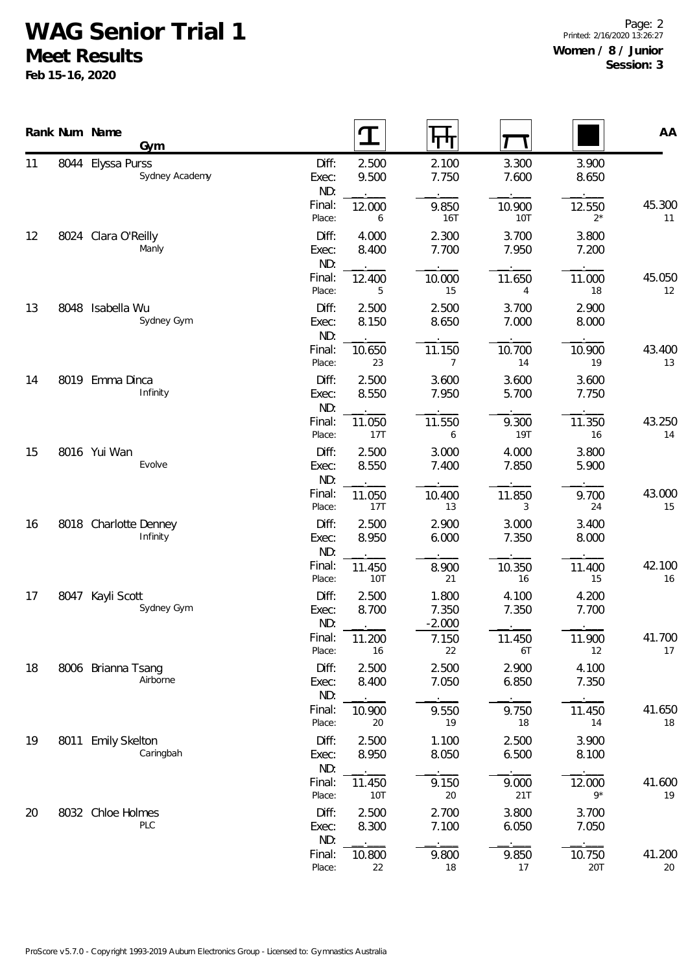## **WAG Senior Trial 1**

**Meet Results**

**Feb 15-16, 2020**

Page: 2 Printed: 2/16/2020 13:26:27 **Women / 8 / Junior Session: 3**

|                      | Rank Num Name<br>Gym                |                           |                        | पा                        |                          |                       | AA             |
|----------------------|-------------------------------------|---------------------------|------------------------|---------------------------|--------------------------|-----------------------|----------------|
| 11                   | 8044 Elyssa Purss<br>Sydney Academy | Diff:<br>Exec:<br>ND:     | 2.500<br>9.500         | 2.100<br>7.750            | 3.300<br>7.600           | 3.900<br>8.650        |                |
|                      |                                     | Final:<br>Place:          | 12.000<br>6            | 9.850<br><b>16T</b>       | 10.900<br><b>10T</b>     | 12.550<br>$2^*$       | 45.300<br>11   |
| 12                   | 8024 Clara O'Reilly<br>Manly        | Diff:<br>Exec:<br>ND:     | 4.000<br>8.400         | 2.300<br>7.700            | 3.700<br>7.950           | 3.800<br>7.200        |                |
|                      |                                     | Final:<br>Place:          | 12.400<br>5            | 10.000<br>15              | 11.650<br>$\overline{4}$ | 11.000<br>18          | 45.050<br>12   |
| 13                   | 8048 Isabella Wu<br>Sydney Gym      | Diff:<br>Exec:<br>ND:     | 2.500<br>8.150         | 2.500<br>8.650            | 3.700<br>7.000           | 2.900<br>8.000        |                |
|                      |                                     | Final:<br>Place:          | 10.650<br>23           | 11.150<br>$7\overline{ }$ | 10.700<br>14             | 10.900<br>19          | 43.400<br>13   |
| 14                   | 8019 Emma Dinca<br>Infinity         | Diff:<br>Exec:<br>ND:     | 2.500<br>8.550         | 3.600<br>7.950            | 3.600<br>5.700           | 3.600<br>7.750        |                |
|                      |                                     | Final:<br>Place:          | 11.050<br>17T          | 11.550<br>6               | 9.300<br><b>19T</b>      | 11.350<br>16          | 43.250<br>14   |
| 15<br>16<br>17<br>18 | 8016 Yui Wan<br>Evolve              | Diff:<br>Exec:<br>ND:     | 2.500<br>8.550         | 3.000<br>7.400            | 4.000<br>7.850           | 3.800<br>5.900        |                |
|                      |                                     | Final:<br>Place:          | 11.050<br>17T          | 10.400<br>13              | 11.850<br>3              | 9.700<br>24           | 43.000<br>15   |
|                      | 8018 Charlotte Denney<br>Infinity   | Diff:<br>Exec:<br>ND:     | 2.500<br>8.950         | 2.900<br>6.000            | 3.000<br>7.350           | 3.400<br>8.000        |                |
|                      |                                     | Final:<br>Place:<br>Diff: | 11.450<br>10T<br>2.500 | 8.900<br>21<br>1.800      | 10.350<br>16<br>4.100    | 11.400<br>15<br>4.200 | 42.100<br>$16$ |
|                      | 8047 Kayli Scott<br>Sydney Gym      | Exec:<br>ND:              | 8.700                  | 7.350<br>$-2.000$         | 7.350                    | 7.700                 |                |
|                      |                                     | Final:<br>Place:          | 11.200<br>16           | 7.150<br>22               | 11.450<br>6T             | 11.900<br>12          | 41.700<br>17   |
|                      | 8006 Brianna Tsang<br>Airborne      | Diff:<br>Exec:<br>ND:     | 2.500<br>8.400         | 2.500<br>7.050            | 2.900<br>6.850           | 4.100<br>7.350        |                |
|                      |                                     | Final:<br>Place:          | 10.900<br>20           | 9.550<br>19               | 9.750<br>18              | 11.450<br>14          | 41.650<br>18   |
| 19                   | 8011 Emily Skelton<br>Caringbah     | Diff:<br>Exec:<br>ND:     | 2.500<br>8.950         | 1.100<br>8.050            | 2.500<br>6.500           | 3.900<br>8.100        |                |
|                      |                                     | Final:<br>Place:          | 11.450<br>10T          | 9.150<br>20               | 9.000<br>21T             | 12.000<br>$9*$        | 41.600<br>19   |
| 20                   | 8032 Chloe Holmes<br>PLC            | Diff:<br>Exec:<br>ND:     | 2.500<br>8.300         | 2.700<br>7.100            | 3.800<br>6.050           | 3.700<br>7.050        |                |
|                      |                                     | Final:<br>Place:          | 10.800<br>22           | 9.800<br>18               | 9.850<br>17              | 10.750<br>20T         | 41.200<br>20   |